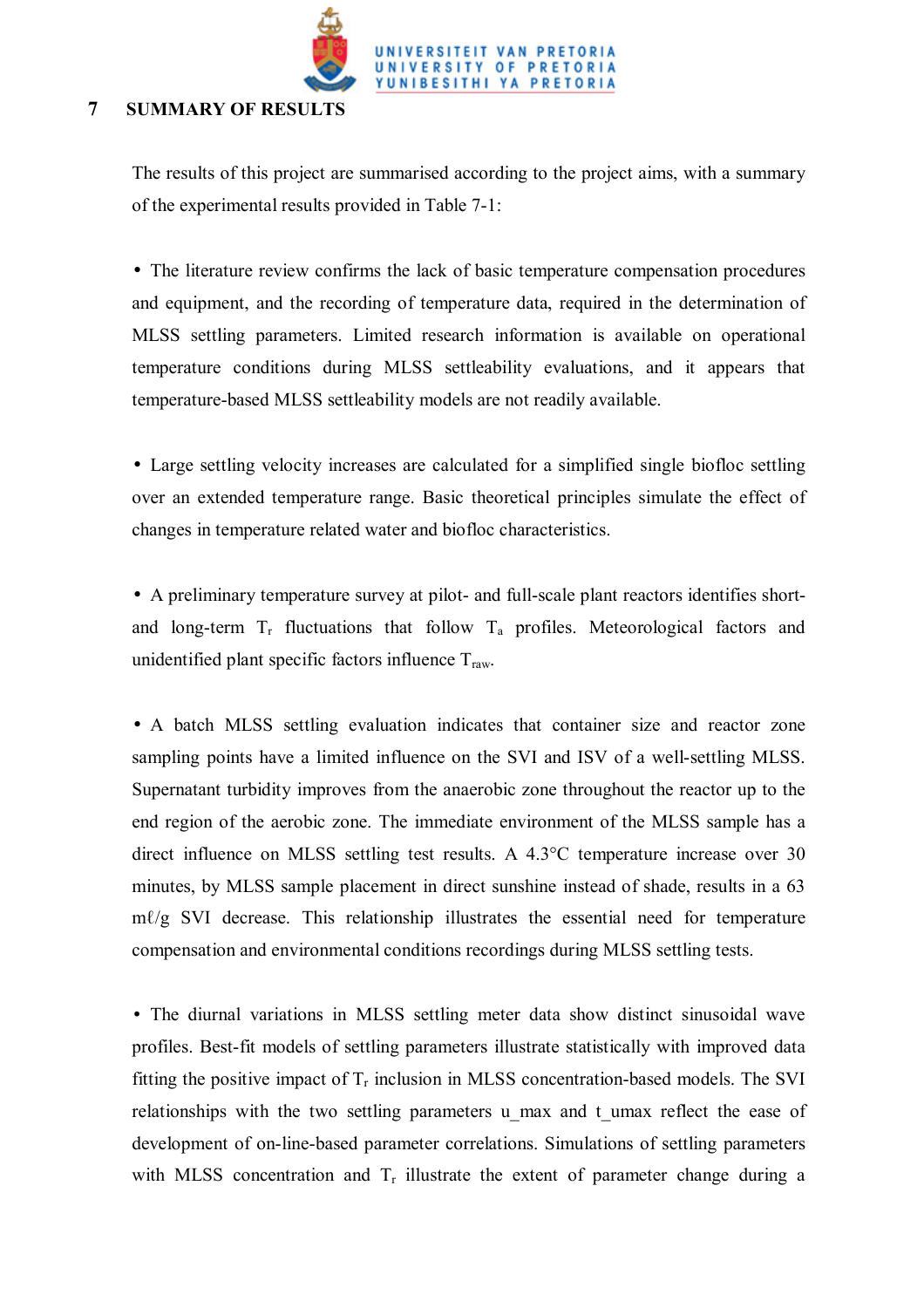

## **7 SUMMARY OF RESULTS**

The results of this project are summarised according to the project aims, with a summary of the experimental results provided in Table 7-1:

• The literature review confirms the lack of basic temperature compensation procedures and equipment, and the recording of temperature data, required in the determination of MLSS settling parameters. Limited research information is available on operational temperature conditions during MLSS settleability evaluations, and it appears that temperature-based MLSS settleability models are not readily available.

• Large settling velocity increases are calculated for a simplified single biofloc settling over an extended temperature range. Basic theoretical principles simulate the effect of changes in temperature related water and biofloc characteristics.

• A preliminary temperature survey at pilot- and full-scale plant reactors identifies shortand long-term  $T_r$  fluctuations that follow  $T_a$  profiles. Meteorological factors and unidentified plant specific factors influence  $T_{\text{raw}}$ .

• A batch MLSS settling evaluation indicates that container size and reactor zone sampling points have a limited influence on the SVI and ISV of a well-settling MLSS. Supernatant turbidity improves from the anaerobic zone throughout the reactor up to the end region of the aerobic zone. The immediate environment of the MLSS sample has a direct influence on MLSS settling test results. A 4.3°C temperature increase over 30 minutes, by MLSS sample placement in direct sunshine instead of shade, results in a 63 mℓ/g SVI decrease. This relationship illustrates the essential need for temperature compensation and environmental conditions recordings during MLSS settling tests.

• The diurnal variations in MLSS settling meter data show distinct sinusoidal wave profiles. Best-fit models of settling parameters illustrate statistically with improved data fitting the positive impact of  $T_r$  inclusion in MLSS concentration-based models. The SVI relationships with the two settling parameters u max and t umax reflect the ease of development of on-line-based parameter correlations. Simulations of settling parameters with MLSS concentration and  $T_r$  illustrate the extent of parameter change during a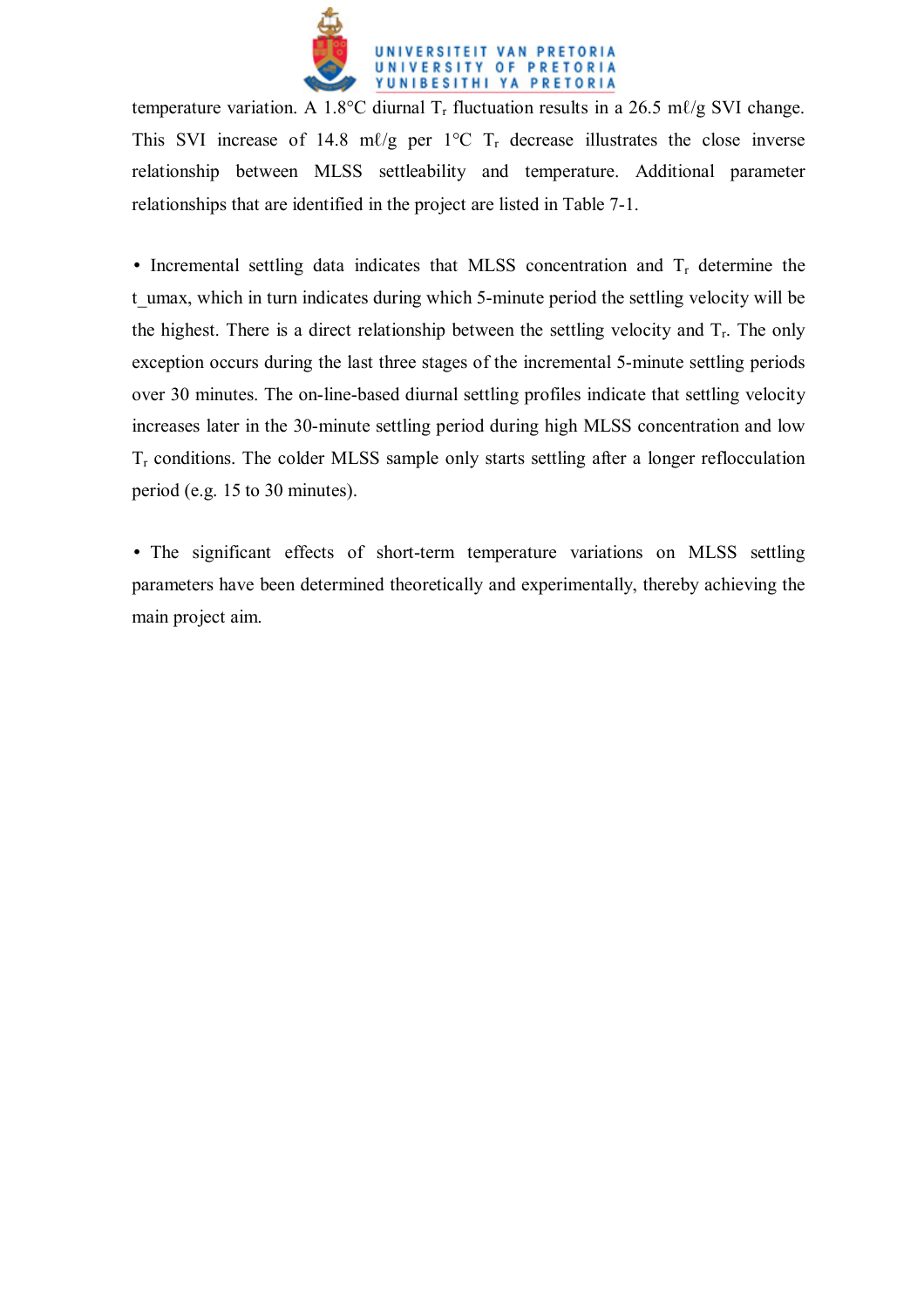

temperature variation. A 1.8°C diurnal  $T_r$  fluctuation results in a 26.5 m $\ell$ /g SVI change. This SVI increase of 14.8 m $\ell/g$  per 1°C T<sub>r</sub> decrease illustrates the close inverse relationship between MLSS settleability and temperature. Additional parameter relationships that are identified in the project are listed in Table 7-1.

• Incremental settling data indicates that MLSS concentration and  $T<sub>r</sub>$  determine the t umax, which in turn indicates during which 5-minute period the settling velocity will be the highest. There is a direct relationship between the settling velocity and  $T_r$ . The only exception occurs during the last three stages of the incremental 5-minute settling periods over 30 minutes. The on-line-based diurnal settling profiles indicate that settling velocity increases later in the 30-minute settling period during high MLSS concentration and low  $T_r$  conditions. The colder MLSS sample only starts settling after a longer reflocculation period (e.g. 15 to 30 minutes).

• The significant effects of short-term temperature variations on MLSS settling parameters have been determined theoretically and experimentally, thereby achieving the main project aim.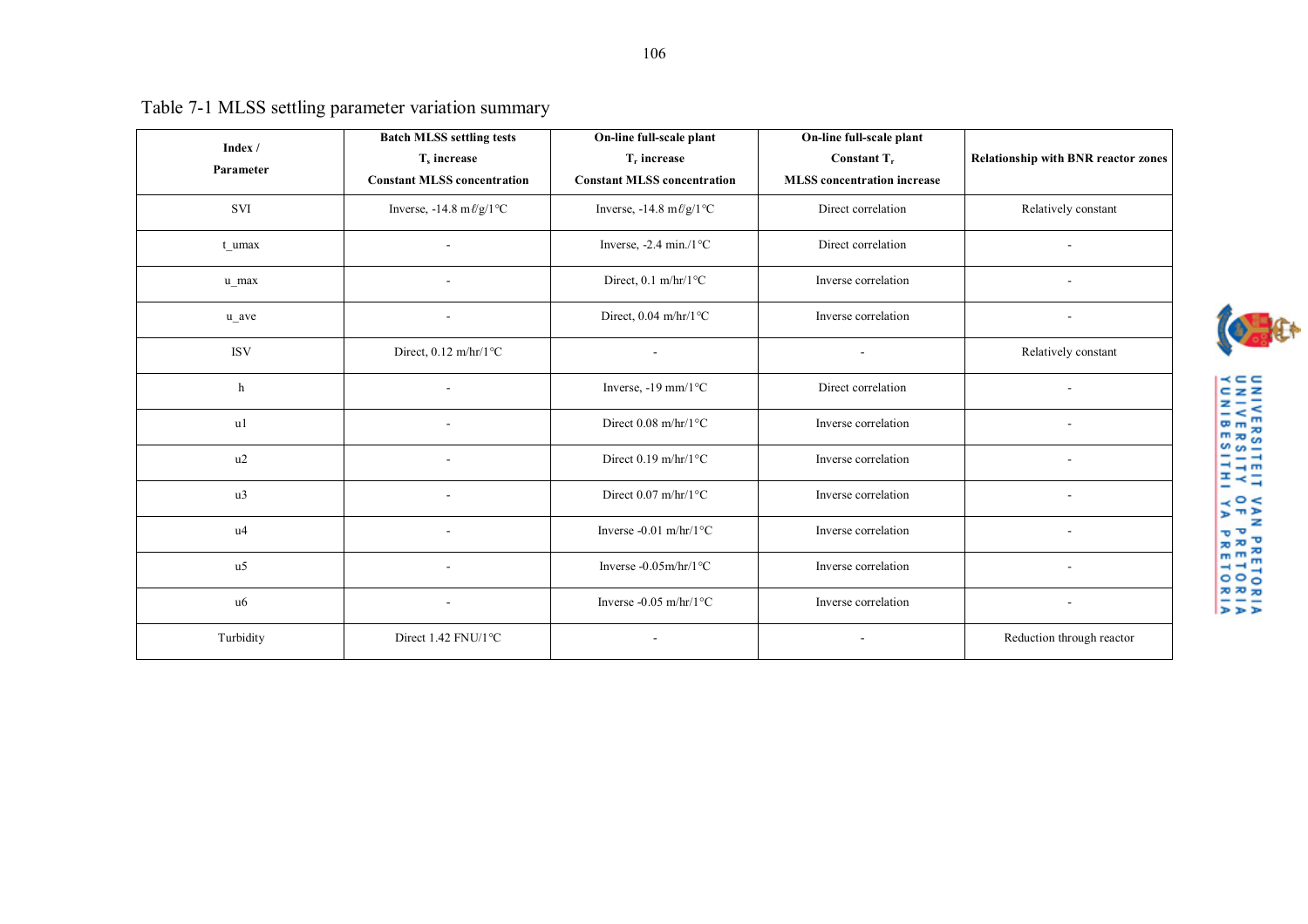| Table 7-1 MLSS settling parameter variation summary |  |  |
|-----------------------------------------------------|--|--|
|                                                     |  |  |

|                      | <b>Batch MLSS settling tests</b>                  | On-line full-scale plant                          | On-line full-scale plant           |                                            |
|----------------------|---------------------------------------------------|---------------------------------------------------|------------------------------------|--------------------------------------------|
| Index /<br>Parameter | T <sub>s</sub> increase                           | $T_r$ increase                                    | Constant $T_r$                     |                                            |
|                      |                                                   |                                                   |                                    | <b>Relationship with BNR reactor zones</b> |
|                      | <b>Constant MLSS concentration</b>                | <b>Constant MLSS concentration</b>                | <b>MLSS</b> concentration increase |                                            |
| <b>SVI</b>           | Inverse, $-14.8 \text{ m} \ell / g / 1 \text{°C}$ | Inverse, $-14.8 \text{ m} \ell / g / 1 \text{°C}$ | Direct correlation                 | Relatively constant                        |
| t umax               | ۰                                                 | Inverse, $-2.4 \text{ min.}/1 \text{°C}$          | Direct correlation                 |                                            |
| u max                |                                                   | Direct, $0.1 \text{ m/hr}/1 \textdegree C$        | Inverse correlation                |                                            |
| u ave                | ۰                                                 | Direct, 0.04 m/hr/1°C                             | Inverse correlation                |                                            |
| <b>ISV</b>           | Direct, $0.12 \text{ m/hr}/1 \text{°C}$           |                                                   | ۰                                  | Relatively constant                        |
| h                    |                                                   | Inverse, -19 mm/1°C                               | Direct correlation                 |                                            |
| u1                   |                                                   | Direct $0.08 \text{ m/hr}/1 \textdegree C$        | Inverse correlation                |                                            |
| u2                   |                                                   | Direct $0.19 \text{ m/hr}/1 \textdegree C$        | Inverse correlation                |                                            |
| u <sub>3</sub>       |                                                   | Direct $0.07$ m/hr/ $1^{\circ}$ C                 | Inverse correlation                |                                            |
| u <sub>4</sub>       |                                                   | Inverse -0.01 m/hr/1 $\degree$ C                  | Inverse correlation                |                                            |
| u <sub>5</sub>       |                                                   | Inverse -0.05m/hr/1°C                             | Inverse correlation                |                                            |
| u6                   |                                                   | Inverse -0.05 m/hr/1 $\degree$ C                  | Inverse correlation                |                                            |
| Turbidity            | Direct 1.42 FNU/1°C                               |                                                   |                                    | Reduction through reactor                  |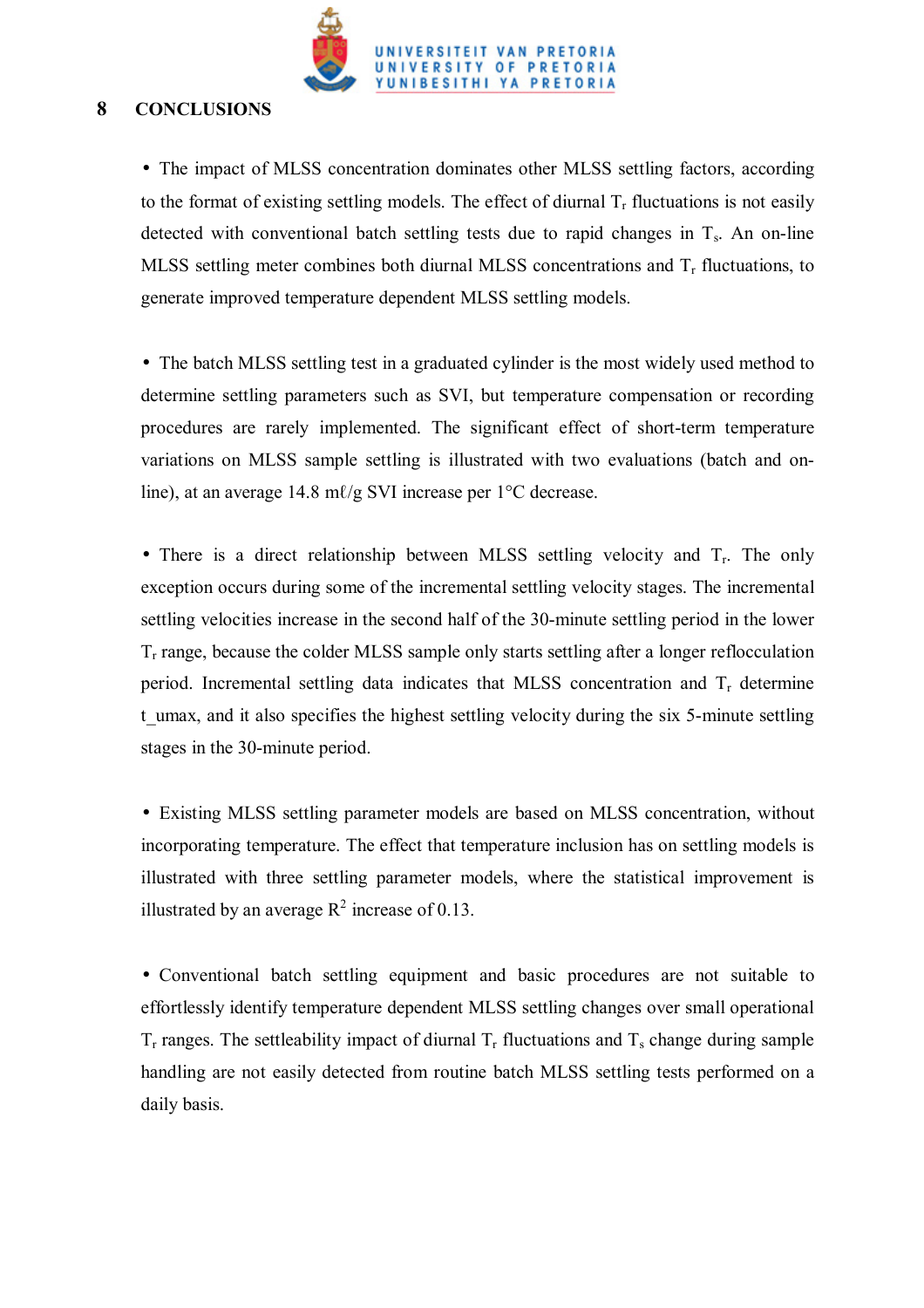

## **8 CONCLUSIONS**

• The impact of MLSS concentration dominates other MLSS settling factors, according to the format of existing settling models. The effect of diurnal  $T_r$  fluctuations is not easily detected with conventional batch settling tests due to rapid changes in  $T_s$ . An on-line MLSS settling meter combines both diurnal MLSS concentrations and Tr fluctuations, to generate improved temperature dependent MLSS settling models.

• The batch MLSS settling test in a graduated cylinder is the most widely used method to determine settling parameters such as SVI, but temperature compensation or recording procedures are rarely implemented. The significant effect of short-term temperature variations on MLSS sample settling is illustrated with two evaluations (batch and online), at an average 14.8 mℓ/g SVI increase per 1 °C decrease.

• There is a direct relationship between MLSS settling velocity and  $T_r$ . The only exception occurs during some of the incremental settling velocity stages. The incremental settling velocities increase in the second half of the 30-minute settling period in the lower  $T_r$  range, because the colder MLSS sample only starts settling after a longer reflocculation period. Incremental settling data indicates that MLSS concentration and  $T_r$  determine t umax, and it also specifies the highest settling velocity during the six 5-minute settling stages in the 30-minute period.

• Existing MLSS settling parameter models are based on MLSS concentration, without incorporating temperature. The effect that temperature inclusion has on settling models is illustrated with three settling parameter models, where the statistical improvement is illustrated by an average  $R^2$  increase of 0.13.

• Conventional batch settling equipment and basic procedures are not suitable to effortlessly identify temperature dependent MLSS settling changes over small operational  $T_r$  ranges. The settleability impact of diurnal  $T_r$  fluctuations and  $T_s$  change during sample handling are not easily detected from routine batch MLSS settling tests performed on a daily basis.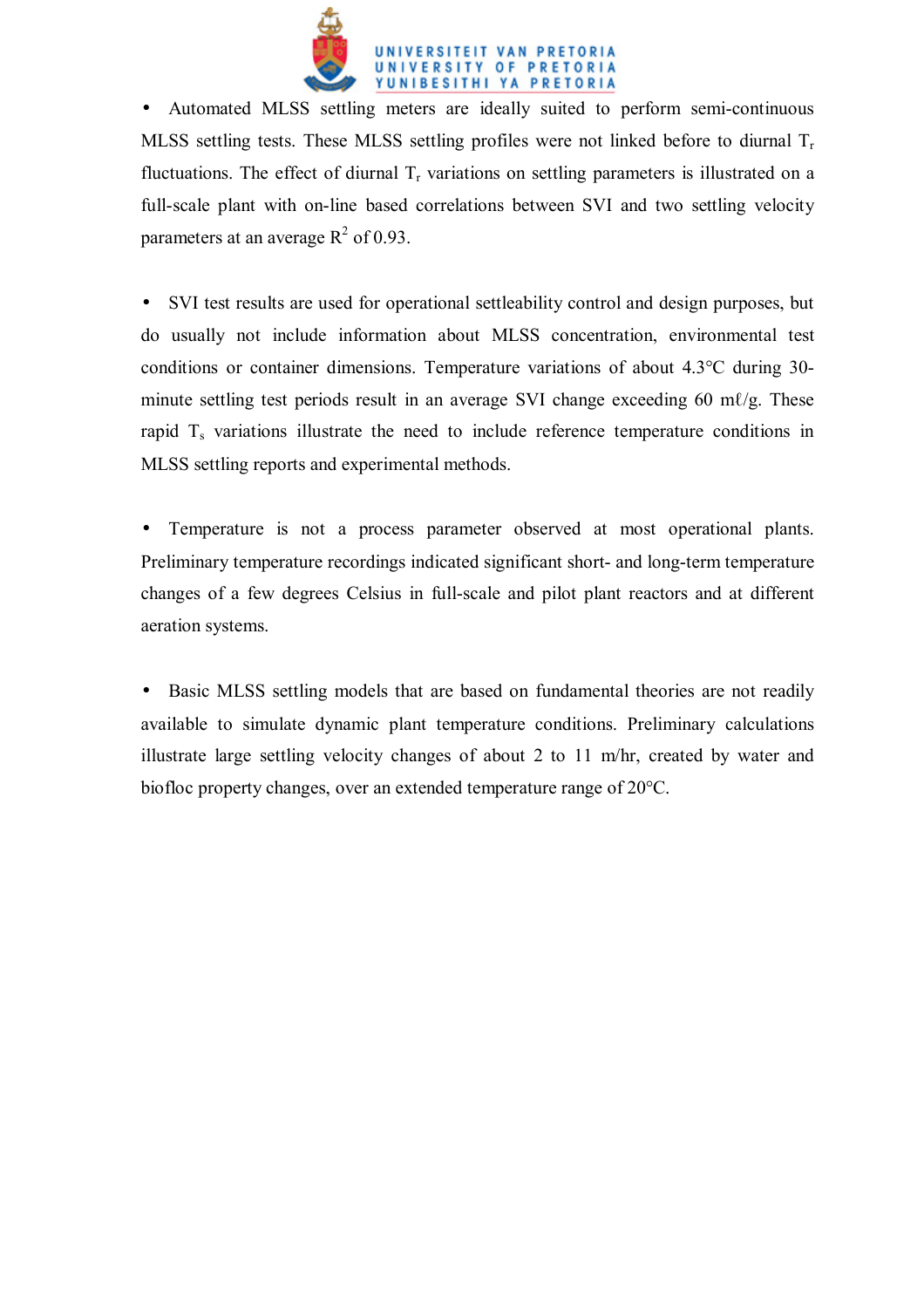

• Automated MLSS settling meters are ideally suited to perform semi-continuous MLSS settling tests. These MLSS settling profiles were not linked before to diurnal  $T_r$ fluctuations. The effect of diurnal  $T_r$  variations on settling parameters is illustrated on a full-scale plant with on-line based correlations between SVI and two settling velocity parameters at an average  $R^2$  of 0.93.

• SVI test results are used for operational settleability control and design purposes, but do usually not include information about MLSS concentration, environmental test conditions or container dimensions. Temperature variations of about 4.3°C during 30 minute settling test periods result in an average SVI change exceeding 60 m $\ell$ /g. These rapid  $T_s$  variations illustrate the need to include reference temperature conditions in MLSS settling reports and experimental methods.

• Temperature is not a process parameter observed at most operational plants. Preliminary temperature recordings indicated significant short- and long-term temperature changes of a few degrees Celsius in full-scale and pilot plant reactors and at different aeration systems.

• Basic MLSS settling models that are based on fundamental theories are not readily available to simulate dynamic plant temperature conditions. Preliminary calculations illustrate large settling velocity changes of about 2 to 11 m/hr, created by water and biofloc property changes, over an extended temperature range of 20°C.